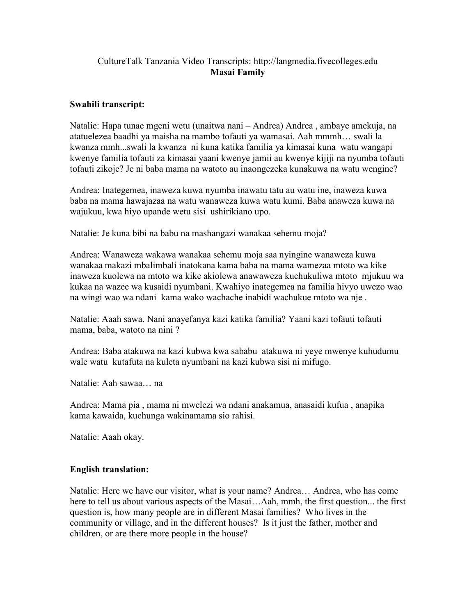## CultureTalk Tanzania Video Transcripts: http://langmedia.fivecolleges.edu Masai Family

## Swahili transcript:

Natalie: Hapa tunae mgeni wetu (unaitwa nani – Andrea) Andrea , ambaye amekuja, na atatuelezea baadhi ya maisha na mambo tofauti ya wamasai. Aah mmmh… swali la kwanza mmh...swali la kwanza ni kuna katika familia ya kimasai kuna watu wangapi kwenye familia tofauti za kimasai yaani kwenye jamii au kwenye kijiji na nyumba tofauti tofauti zikoje? Je ni baba mama na watoto au inaongezeka kunakuwa na watu wengine?

Andrea: Inategemea, inaweza kuwa nyumba inawatu tatu au watu ine, inaweza kuwa baba na mama hawajazaa na watu wanaweza kuwa watu kumi. Baba anaweza kuwa na wajukuu, kwa hiyo upande wetu sisi ushirikiano upo.

Natalie: Je kuna bibi na babu na mashangazi wanakaa sehemu moja?

Andrea: Wanaweza wakawa wanakaa sehemu moja saa nyingine wanaweza kuwa wanakaa makazi mbalimbali inatokana kama baba na mama wamezaa mtoto wa kike inaweza kuolewa na mtoto wa kike akiolewa anawaweza kuchukuliwa mtoto mjukuu wa kukaa na wazee wa kusaidi nyumbani. Kwahiyo inategemea na familia hivyo uwezo wao na wingi wao wa ndani kama wako wachache inabidi wachukue mtoto wa nje .

Natalie: Aaah sawa. Nani anayefanya kazi katika familia? Yaani kazi tofauti tofauti mama, baba, watoto na nini ?

Andrea: Baba atakuwa na kazi kubwa kwa sababu atakuwa ni yeye mwenye kuhudumu wale watu kutafuta na kuleta nyumbani na kazi kubwa sisi ni mifugo.

Natalie: Aah sawaa… na

Andrea: Mama pia , mama ni mwelezi wa ndani anakamua, anasaidi kufua , anapika kama kawaida, kuchunga wakinamama sio rahisi.

Natalie: Aaah okay.

## English translation:

Natalie: Here we have our visitor, what is your name? Andrea… Andrea, who has come here to tell us about various aspects of the Masai...Aah, mmh, the first question... the first question is, how many people are in different Masai families? Who lives in the community or village, and in the different houses? Is it just the father, mother and children, or are there more people in the house?